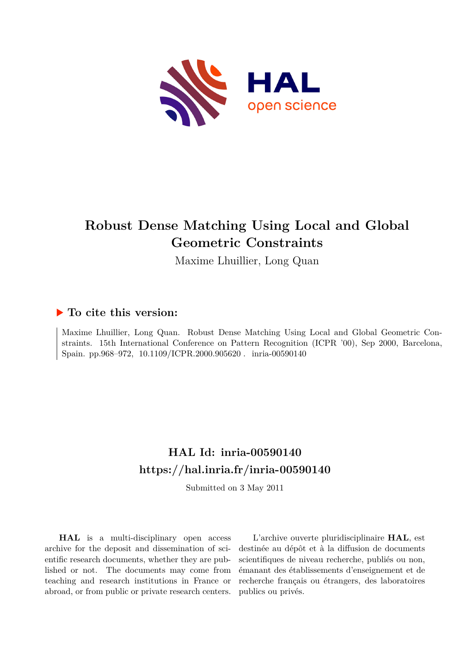

# **Robust Dense Matching Using Local and Global Geometric Constraints**

Maxime Lhuillier, Long Quan

# **To cite this version:**

Maxime Lhuillier, Long Quan. Robust Dense Matching Using Local and Global Geometric Constraints. 15th International Conference on Pattern Recognition (ICPR '00), Sep 2000, Barcelona, Spain. pp.968–972,  $10.1109/ICPR.2000.905620$ . inria-00590140

# **HAL Id: inria-00590140 <https://hal.inria.fr/inria-00590140>**

Submitted on 3 May 2011

**HAL** is a multi-disciplinary open access archive for the deposit and dissemination of scientific research documents, whether they are published or not. The documents may come from teaching and research institutions in France or abroad, or from public or private research centers.

L'archive ouverte pluridisciplinaire **HAL**, est destinée au dépôt et à la diffusion de documents scientifiques de niveau recherche, publiés ou non, émanant des établissements d'enseignement et de recherche français ou étrangers, des laboratoires publics ou privés.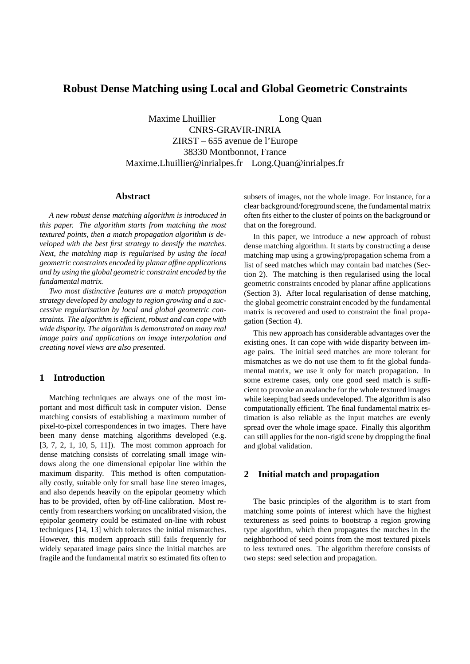# **Robust Dense Matching using Local and Global Geometric Constraints**

Maxime Lhuillier Long Quan CNRS-GRAVIR-INRIA ZIRST – 655 avenue de l'Europe 38330 Montbonnot, France Maxime.Lhuillier@inrialpes.fr Long.Quan@inrialpes.fr

# **Abstract**

*A new robust dense matching algorithm is introduced in this paper. The algorithm starts from matching the most textured points, then a match propagation algorithm is developed with the best first strategy to densify the matches. Next, the matching map is regularised by using the local geometric constraints encoded by planar affine applications and by using the global geometric constraint encoded by the fundamental matrix.*

*Two most distinctive features are a match propagation strategy developed by analogy to region growing and a successive regularisation by local and global geometric constraints. The algorithm is efficient, robust and can cope with wide disparity. The algorithm is demonstrated on many real image pairs and applications on image interpolation and creating novel views are also presented.*

# **1 Introduction**

Matching techniques are always one of the most important and most difficult task in computer vision. Dense matching consists of establishing a maximum number of pixel-to-pixel correspondences in two images. There have been many dense matching algorithms developed (e.g. [3, 7, 2, 1, 10, 5, 11]). The most common approach for dense matching consists of correlating small image windows along the one dimensional epipolar line within the maximum disparity. This method is often computationally costly, suitable only for small base line stereo images, and also depends heavily on the epipolar geometry which has to be provided, often by off-line calibration. Most recently from researchers working on uncalibrated vision, the epipolar geometry could be estimated on-line with robust techniques [14, 13] which tolerates the initial mismatches. However, this modern approach still fails frequently for widely separated image pairs since the initial matches are fragile and the fundamental matrix so estimated fits often to subsets of images, not the whole image. For instance, for a clear background/foreground scene, the fundamental matrix often fits either to the cluster of points on the background or that on the foreground.

In this paper, we introduce a new approach of robust dense matching algorithm. It starts by constructing a dense matching map using a growing/propagation schema from a list of seed matches which may contain bad matches (Section 2). The matching is then regularised using the local geometric constraints encoded by planar affine applications (Section 3). After local regularisation of dense matching, the global geometric constraint encoded by the fundamental matrix is recovered and used to constraint the final propagation (Section 4).

This new approach has considerable advantages over the existing ones. It can cope with wide disparity between image pairs. The initial seed matches are more tolerant for mismatches as we do not use them to fit the global fundamental matrix, we use it only for match propagation. In some extreme cases, only one good seed match is sufficient to provoke an avalanche for the whole textured images while keeping bad seeds undeveloped. The algorithm is also computationally efficient. The final fundamental matrix estimation is also reliable as the input matches are evenly spread over the whole image space. Finally this algorithm can still applies for the non-rigid scene by dropping the final and global validation.

# **2 Initial match and propagation**

The basic principles of the algorithm is to start from matching some points of interest which have the highest textureness as seed points to bootstrap a region growing type algorithm, which then propagates the matches in the neighborhood of seed points from the most textured pixels to less textured ones. The algorithm therefore consists of two steps: seed selection and propagation.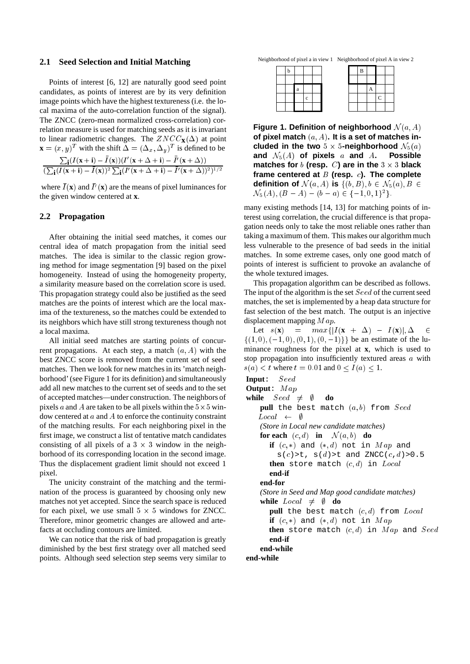#### **2.1 Seed Selection and Initial Matching**

Points of interest [6, 12] are naturally good seed point candidates, as points of interest are by its very definition image points which have the highest textureness (i.e. the local maxima of the auto-correlation function of the signal). The ZNCC (zero-mean normalized cross-correlation) correlation measure is used for matching seeds as it is invariant to linear radiometric changes. The  $ZNCC_{\mathbf{X}}(\Delta)$  at point  $\mathbf{x} = (x, y)^T$  with the shift  $\Delta = (\Delta_x, \Delta_y)^T$  is defined to be  $\sum_{\mathbf{i}} (I(\mathbf{x} + \mathbf{i}) - I(\mathbf{x})) (I'(\mathbf{x} + \Delta + \mathbf{i}) - I'(\mathbf{x} + \Delta))$  $\left(\sum_{\mathbf{i}}(I(\mathbf{x}+\mathbf{i})-I(\mathbf{x}))^2\sum_{\mathbf{i}}(I'(\mathbf{x}+\Delta+\mathbf{i})-I'(\mathbf{x}+\Delta))^2\right)^{1/2}$ 

where  $I(\mathbf{x})$  and  $I'(\mathbf{x})$  are the means of pixel luminances for the given window centered at **x**.

#### **2.2 Propagation**

After obtaining the initial seed matches, it comes our central idea of match propagation from the initial seed matches. The idea is similar to the classic region growing method for image segmentation [9] based on the pixel homogeneity. Instead of using the homogeneity property, a similarity measure based on the correlation score is used. This propagation strategy could also be justified as the seed matches are the points of interest which are the local maxima of the textureness, so the matches could be extended to its neighbors which have still strong textureness though not a local maxima.

All initial seed matches are starting points of concurrent propagations. At each step, a match  $(a, A)$  with the best ZNCC score is removed from the current set of seed matches. Then we look for new matches in its 'match neighborhood' (see Figure 1 for its definition) and simultaneously add all new matches to the current set of seeds and to the set of accepted matches—under construction. The neighbors of pixels a and A are taken to be all pixels within the  $5 \times 5$  window centered at <sup>a</sup> and <sup>A</sup> to enforce the continuity constraint of the matching results. For each neighboring pixel in the first image, we construct a list of tentative match candidates consisting of all pixels of a  $3 \times 3$  window in the neighborhood of its corresponding location in the second image. Thus the displacement gradient limit should not exceed 1 pixel.

The unicity constraint of the matching and the termination of the process is guaranteed by choosing only new matches not yet accepted. Since the search space is reduced for each pixel, we use small  $5 \times 5$  windows for ZNCC. Therefore, minor geometric changes are allowed and artefacts at occluding contours are limited.

We can notice that the risk of bad propagation is greatly diminished by the best first strategy over all matched seed points. Although seed selection step seems very similar to

Neighborhood of pixel a in view 1 Neighborhood of pixel A in view 2

| r |   |  |  | B |  |  |
|---|---|--|--|---|--|--|
|   |   |  |  |   |  |  |
|   | a |  |  |   |  |  |
|   |   |  |  |   |  |  |
|   |   |  |  |   |  |  |

**Figure 1. Definition of neighborhood**  $\mathcal{N}(a, A)$ **of pixel match** (a; A)**. It is a set of matches included in the two**  $5 \times 5$ -neighborhood  $\mathcal{N}_5(a)$ and  $\mathcal{N}_5(A)$  of pixels a and A. Possible matches for  $b$  (resp.  $C$ ) are in the  $3 \times 3$  black **frame centered at** <sup>B</sup> **(resp. ). The complete definition of**  $\mathcal{N}(a, A)$  **is**  $\{(b, B), b \in \mathcal{N}_5(a), B \in \mathcal{N}_6(a)\}$  $\mathcal{N}_5(A), (D-A) = (D - a) \in \{-1, 0, 1\}$ .

many existing methods [14, 13] for matching points of interest using correlation, the crucial difference is that propagation needs only to take the most reliable ones rather than taking a maximum of them. This makes our algorithm much less vulnerable to the presence of bad seeds in the initial matches. In some extreme cases, only one good match of points of interest is sufficient to provoke an avalanche of the whole textured images.

This propagation algorithm can be described as follows. The input of the algorithm is the set  $Seed$  of the current seed matches, the set is implemented by a heap data structure for fast selection of the best match. The output is an injective displacement mapping  $Map$ .

Let  $s(\mathbf{x}) = max\{|I(\mathbf{x} + \Delta) - I(\mathbf{x})|, \Delta \in$  $\{(1,0), (-1,0), (0,1), (0,-1)\}\}\)$  be an estimate of the luminance roughness for the pixel at **x**, which is used to stop propagation into insufficiently textured areas a with  $s(a) < t$  where  $t = 0.01$  and  $0 \le I(a) \le 1$ . **Input**: Seed **Output**: Map **while**  $Seed \neq \emptyset$  **do pull** the best match  $(a, b)$  from Seed  $Local \leftarrow \emptyset$ *(Store in Local new candidate matches)* **for each**  $(c, d)$  **in**  $\mathcal{N}(a, b)$  **do if**  $(c, *)$  and  $(*, d)$  not in  $Map$  and  $s(c)$ >t,  $s(d)$ >t and ZNCC( $c, d$ )>0.5 **then** store match  $(c, d)$  in Local **end-if end-for** *(Store in Seed and Map good candidate matches)* **while**  $Local \neq \emptyset$  **do** pull the best match  $(c, d)$  from Local **if**  $(c, *)$  and  $(*, d)$  not in  $Map$ **then** store match  $(c, d)$  in  $Map$  and  $Seed$ **end-if end-while end-while**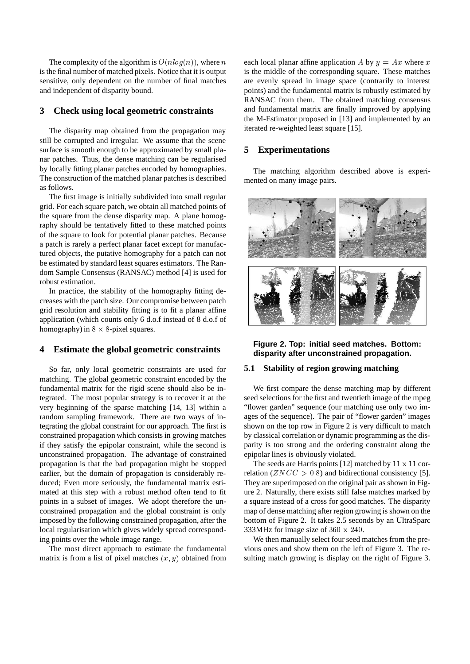The complexity of the algorithm is  $O(n \log(n))$ , where n is the final number of matched pixels. Notice that it is output sensitive, only dependent on the number of final matches and independent of disparity bound.

# **3 Check using local geometric constraints**

The disparity map obtained from the propagation may still be corrupted and irregular. We assume that the scene surface is smooth enough to be approximated by small planar patches. Thus, the dense matching can be regularised by locally fitting planar patches encoded by homographies. The construction of the matched planar patches is described as follows.

The first image is initially subdivided into small regular grid. For each square patch, we obtain all matched points of the square from the dense disparity map. A plane homography should be tentatively fitted to these matched points of the square to look for potential planar patches. Because a patch is rarely a perfect planar facet except for manufactured objects, the putative homography for a patch can not be estimated by standard least squares estimators. The Random Sample Consensus (RANSAC) method [4] is used for robust estimation.

In practice, the stability of the homography fitting decreases with the patch size. Our compromise between patch grid resolution and stability fitting is to fit a planar affine application (which counts only 6 d.o.f instead of 8 d.o.f of homography) in  $8 \times 8$ -pixel squares.

#### **4 Estimate the global geometric constraints**

So far, only local geometric constraints are used for matching. The global geometric constraint encoded by the fundamental matrix for the rigid scene should also be integrated. The most popular strategy is to recover it at the very beginning of the sparse matching [14, 13] within a random sampling framework. There are two ways of integrating the global constraint for our approach. The first is constrained propagation which consists in growing matches if they satisfy the epipolar constraint, while the second is unconstrained propagation. The advantage of constrained propagation is that the bad propagation might be stopped earlier, but the domain of propagation is considerably reduced; Even more seriously, the fundamental matrix estimated at this step with a robust method often tend to fit points in a subset of images. We adopt therefore the unconstrained propagation and the global constraint is only imposed by the following constrained propagation, after the local regularisation which gives widely spread corresponding points over the whole image range.

The most direct approach to estimate the fundamental matrix is from a list of pixel matches  $(x, y)$  obtained from each local planar affine application A by  $y = Ax$  where x is the middle of the corresponding square. These matches are evenly spread in image space (contrarily to interest points) and the fundamental matrix is robustly estimated by RANSAC from them. The obtained matching consensus and fundamental matrix are finally improved by applying the M-Estimator proposed in [13] and implemented by an iterated re-weighted least square [15].

## **5 Experimentations**

The matching algorithm described above is experimented on many image pairs.



**Figure 2. Top: initial seed matches. Bottom: disparity after unconstrained propagation.**

## **5.1 Stability of region growing matching**

We first compare the dense matching map by different seed selections for the first and twentieth image of the mpeg "flower garden" sequence (our matching use only two images of the sequence). The pair of "flower garden" images shown on the top row in Figure 2 is very difficult to match by classical correlation or dynamic programming as the disparity is too strong and the ordering constraint along the epipolar lines is obviously violated.

The seeds are Harris points [12] matched by  $11 \times 11$  correlation ( $ZNCC > 0.8$ ) and bidirectional consistency [5]. They are superimposed on the original pair as shown in Figure 2. Naturally, there exists still false matches marked by a square instead of a cross for good matches. The disparity map of dense matching after region growing is shown on the bottom of Figure 2. It takes 2.5 seconds by an UltraSparc 333MHz for image size of  $360 \times 240$ .

We then manually select four seed matches from the previous ones and show them on the left of Figure 3. The resulting match growing is display on the right of Figure 3.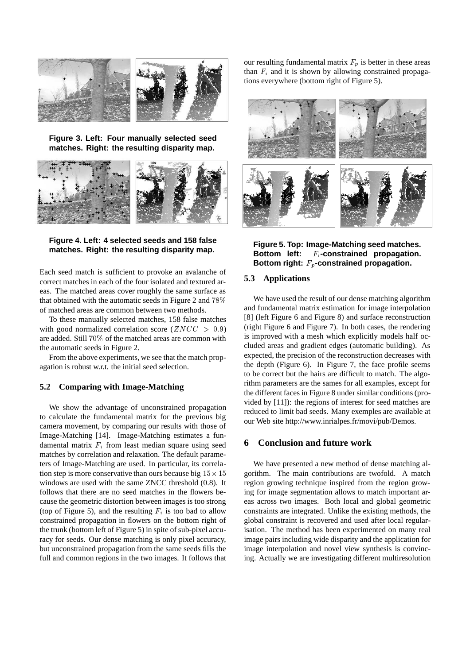

**Figure 3. Left: Four manually selected seed matches. Right: the resulting disparity map.**



**Figure 4. Left: 4 selected seeds and 158 false matches. Right: the resulting disparity map.**

Each seed match is sufficient to provoke an avalanche of correct matches in each of the four isolated and textured areas. The matched areas cover roughly the same surface as that obtained with the automatic seeds in Figure 2 and 78% of matched areas are common between two methods.

To these manually selected matches, 158 false matches with good normalized correlation score ( $ZNCC > 0.9$ ) are added. Still 70% of the matched areas are common with the automatic seeds in Figure 2.

From the above experiments, we see that the match propagation is robust w.r.t. the initial seed selection.

#### **5.2 Comparing with Image-Matching**

We show the advantage of unconstrained propagation to calculate the fundamental matrix for the previous big camera movement, by comparing our results with those of Image-Matching [14]. Image-Matching estimates a fundamental matrix  $F_i$  from least median square using seed matches by correlation and relaxation. The default parameters of Image-Matching are used. In particular, its correlation step is more conservative than ours because big  $15 \times 15$ windows are used with the same ZNCC threshold (0.8). It follows that there are no seed matches in the flowers because the geometric distortion between images is too strong (top of Figure 5), and the resulting  $F_i$  is too bad to allow constrained propagation in flowers on the bottom right of the trunk (bottom left of Figure 5) in spite of sub-pixel accuracy for seeds. Our dense matching is only pixel accuracy, but unconstrained propagation from the same seeds fills the full and common regions in the two images. It follows that our resulting fundamental matrix  $F_p$  is better in these areas than  $F_i$  and it is shown by allowing constrained propagations everywhere (bottom right of Figure 5).



**Figure 5. Top: Image-Matching seed matches.** Bottom left: F<sub>i</sub>-constrained propagation. Bottom right:  $F_p$ -constrained propagation.

#### **5.3 Applications**

We have used the result of our dense matching algorithm and fundamental matrix estimation for image interpolation [8] (left Figure 6 and Figure 8) and surface reconstruction (right Figure 6 and Figure 7). In both cases, the rendering is improved with a mesh which explicitly models half occluded areas and gradient edges (automatic building). As expected, the precision of the reconstruction decreases with the depth (Figure 6). In Figure 7, the face profile seems to be correct but the hairs are difficult to match. The algorithm parameters are the sames for all examples, except for the different faces in Figure 8 under similar conditions (provided by [11]): the regions of interest for seed matches are reduced to limit bad seeds. Many exemples are available at our Web site http://www.inrialpes.fr/movi/pub/Demos.

## **6 Conclusion and future work**

We have presented a new method of dense matching algorithm. The main contributions are twofold. A match region growing technique inspired from the region growing for image segmentation allows to match important areas across two images. Both local and global geometric constraints are integrated. Unlike the existing methods, the global constraint is recovered and used after local regularisation. The method has been experimented on many real image pairs including wide disparity and the application for image interpolation and novel view synthesis is convincing. Actually we are investigating different multiresolution